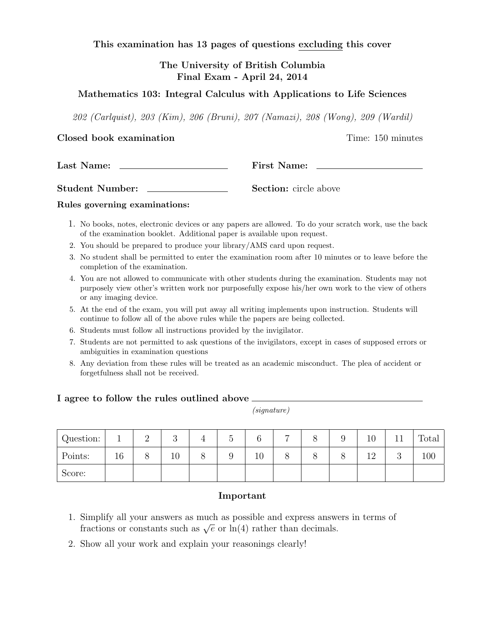This examination has 13 pages of questions excluding this cover

# The University of British Columbia Final Exam - April 24, 2014

# Mathematics 103: Integral Calculus with Applications to Life Sciences

202 (Carlquist), 203 (Kim), 206 (Bruni), 207 (Namazi), 208 (Wong), 209 (Wardil)

### Closed book examination Time: 150 minutes

Last Name: First Name:

Student Number: Section: circle above

### Rules governing examinations:

- 1. No books, notes, electronic devices or any papers are allowed. To do your scratch work, use the back of the examination booklet. Additional paper is available upon request.
- 2. You should be prepared to produce your library/AMS card upon request.
- 3. No student shall be permitted to enter the examination room after 10 minutes or to leave before the completion of the examination.
- 4. You are not allowed to communicate with other students during the examination. Students may not purposely view other's written work nor purposefully expose his/her own work to the view of others or any imaging device.
- 5. At the end of the exam, you will put away all writing implements upon instruction. Students will continue to follow all of the above rules while the papers are being collected.
- 6. Students must follow all instructions provided by the invigilator.
- 7. Students are not permitted to ask questions of the invigilators, except in cases of supposed errors or ambiguities in examination questions
- 8. Any deviation from these rules will be treated as an academic misconduct. The plea of accident or forgetfulness shall not be received.

### I agree to follow the rules outlined above  $\overline{\phantom{a}}$

(signature)

| Question: |    | $\Omega$<br>↵ | $\Omega$<br>ಀ | ∪ | $\sim$ | − |  | 10        |        | Total |
|-----------|----|---------------|---------------|---|--------|---|--|-----------|--------|-------|
| Points:   | 16 |               | ΤĤ            | ◡ | 10     | C |  | 1 ດ<br>∸∸ | ∩<br>◡ | 100   |
| Score:    |    |               |               |   |        |   |  |           |        |       |

### Important

- 1. Simplify all your answers as much as possible and express answers in terms of Sunpiny an your answers as much as possible and express answers fractions or constants such as  $\sqrt{e}$  or  $\ln(4)$  rather than decimals.
- 2. Show all your work and explain your reasonings clearly!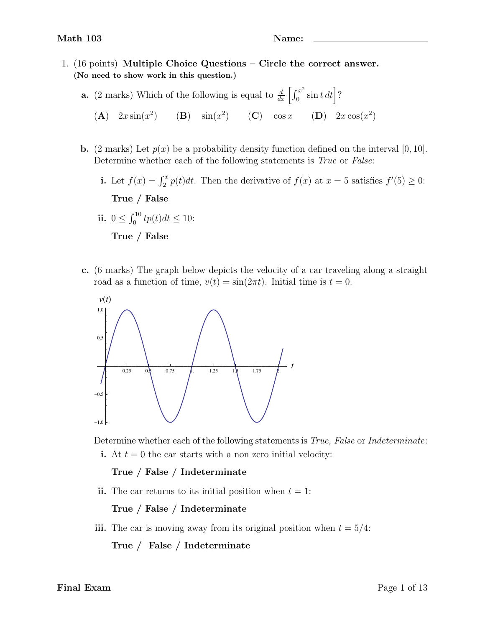- 1. (16 points) Multiple Choice Questions Circle the correct answer. (No need to show work in this question.)
	- **a.** (2 marks) Which of the following is equal to  $\frac{d}{dx} \left[ \int_0^{x^2}$  $\int_0^{x^2} \sin t \, dt$  ?
		- (A)  $2x \sin(x^2)$  (B)  $\sin(x^2)$  (C)  $\cos x$  (D)  $2x \cos(x^2)$
	- **b.** (2 marks) Let  $p(x)$  be a probability density function defined on the interval [0, 10]. Determine whether each of the following statements is *True* or *False*:
		- i. Let  $f(x) = \int_2^x p(t)dt$ . Then the derivative of  $f(x)$  at  $x = 5$  satisfies  $f'(5) \ge 0$ : True / False
		- ii.  $0 \le \int_0^{10} tp(t) dt \le 10$ : True / False
	- c. (6 marks) The graph below depicts the velocity of a car traveling along a straight road as a function of time,  $v(t) = \sin(2\pi t)$ . Initial time is  $t = 0$ .



Determine whether each of the following statements is *True, False* or *Indeterminate*:

i. At  $t = 0$  the car starts with a non zero initial velocity:

True / False / Indeterminate

ii. The car returns to its initial position when  $t = 1$ :

True / False / Indeterminate

iii. The car is moving away from its original position when  $t = 5/4$ :

True / False / Indeterminate

Final Exam Page 1 of 13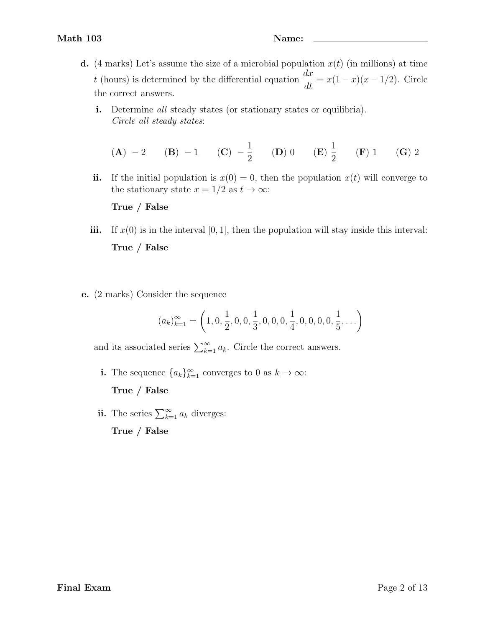- d. (4 marks) Let's assume the size of a microbial population  $x(t)$  (in millions) at time t (hours) is determined by the differential equation  $\frac{dx}{dt} = x(1-x)(x-1/2)$ . Circle the correct answers.
	- i. Determine all steady states (or stationary states or equilibria). Circle all steady states:

(**A**) -2 (**B**) -1 (**C**) 
$$
-\frac{1}{2}
$$
 (**D**) 0 (**E**)  $\frac{1}{2}$  (**F**) 1 (**G**) 2

ii. If the initial population is  $x(0) = 0$ , then the population  $x(t)$  will converge to the stationary state  $x = 1/2$  as  $t \to \infty$ :

True / False

- iii. If  $x(0)$  is in the interval [0, 1], then the population will stay inside this interval: True / False
- e. (2 marks) Consider the sequence

$$
(a_k)_{k=1}^{\infty} = \left(1, 0, \frac{1}{2}, 0, 0, \frac{1}{3}, 0, 0, 0, \frac{1}{4}, 0, 0, 0, 0, \frac{1}{5}, \ldots\right)
$$

and its associated series  $\sum_{k=1}^{\infty} a_k$ . Circle the correct answers.

i. The sequence  ${a_k}_{k=1}^{\infty}$  converges to 0 as  $k \to \infty$ :

True / False

ii. The series  $\sum_{k=1}^{\infty} a_k$  diverges:

True / False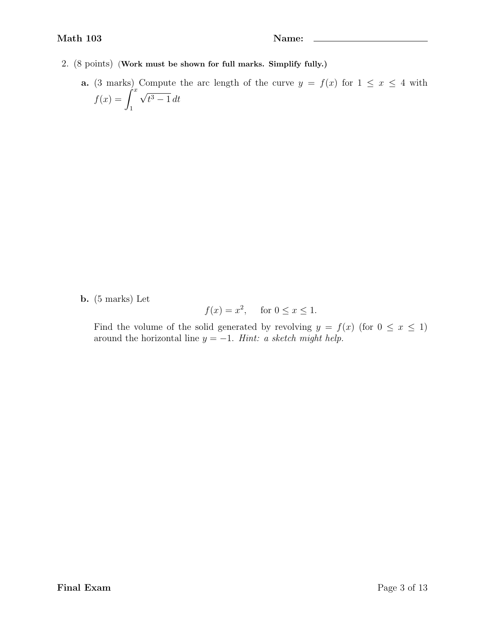- 2. (8 points) (Work must be shown for full marks. Simplify fully.)
	- a. (3 marks) Compute the arc length of the curve  $y = f(x)$  for  $1 \le x \le 4$  with  $\int f(x) = \int^x$ 1 √  $t^3-1 dt$

b. (5 marks) Let

$$
f(x) = x^2, \quad \text{for } 0 \le x \le 1.
$$

Find the volume of the solid generated by revolving  $y = f(x)$  (for  $0 \le x \le 1$ ) around the horizontal line  $y = -1$ . Hint: a sketch might help.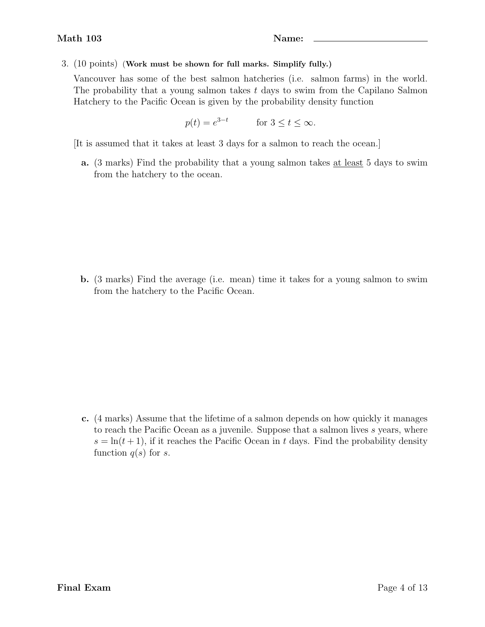# 3. (10 points) (Work must be shown for full marks. Simplify fully.)

Vancouver has some of the best salmon hatcheries (i.e. salmon farms) in the world. The probability that a young salmon takes t days to swim from the Capilano Salmon Hatchery to the Pacific Ocean is given by the probability density function

 $p(t) = e^{3-t}$  for  $3 \le t \le \infty$ .

[It is assumed that it takes at least 3 days for a salmon to reach the ocean.]

a. (3 marks) Find the probability that a young salmon takes at least 5 days to swim from the hatchery to the ocean.

b. (3 marks) Find the average (i.e. mean) time it takes for a young salmon to swim from the hatchery to the Pacific Ocean.

c. (4 marks) Assume that the lifetime of a salmon depends on how quickly it manages to reach the Pacific Ocean as a juvenile. Suppose that a salmon lives s years, where  $s = \ln(t+1)$ , if it reaches the Pacific Ocean in t days. Find the probability density function  $q(s)$  for s.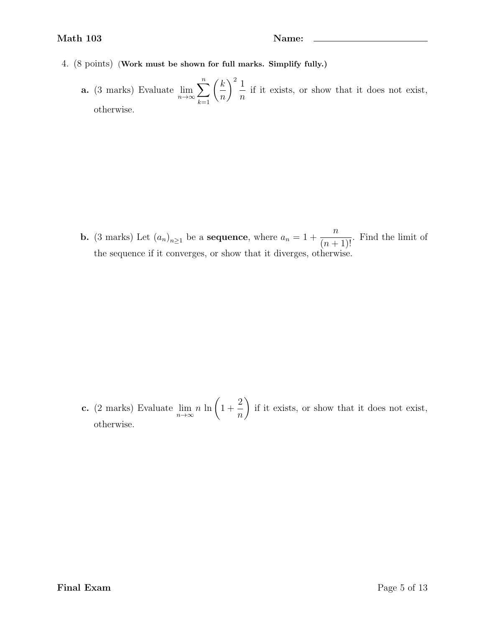- 4. (8 points) (Work must be shown for full marks. Simplify fully.)
	- **a.** (3 marks) Evaluate  $\lim_{n\to\infty}$  $\sum_{n=1}^{\infty}$  $k=1$  $\sqrt{k}$  $\overline{n}$  $\setminus^2 1$ n if it exists, or show that it does not exist, otherwise.

**b.** (3 marks) Let  $(a_n)_{n\geq 1}$  be a **sequence**, where  $a_n = 1 + \dots$ n  $\frac{n}{(n+1)!}$ . Find the limit of the sequence if it converges, or show that it diverges, otherwise.

c. (2 marks) Evaluate  $\lim_{n\to\infty} n \ln \left( 1 + \right)$ 2 n  $\setminus$ if it exists, or show that it does not exist, otherwise.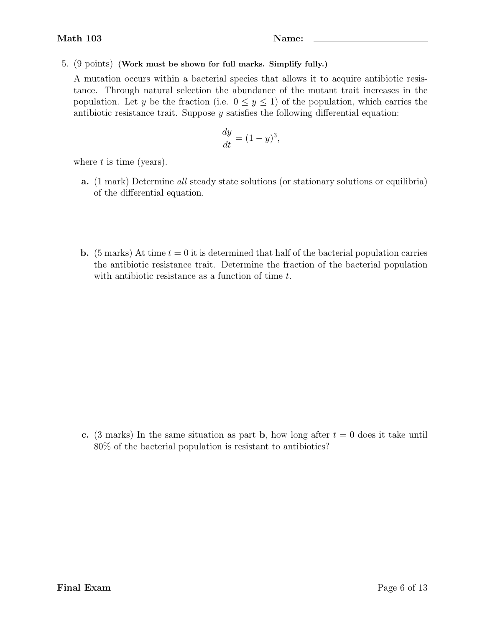# 5. (9 points) (Work must be shown for full marks. Simplify fully.)

A mutation occurs within a bacterial species that allows it to acquire antibiotic resistance. Through natural selection the abundance of the mutant trait increases in the population. Let y be the fraction (i.e.  $0 \leq y \leq 1$ ) of the population, which carries the antibiotic resistance trait. Suppose y satisfies the following differential equation:

$$
\frac{dy}{dt} = (1 - y)^3,
$$

where  $t$  is time (years).

- a. (1 mark) Determine all steady state solutions (or stationary solutions or equilibria) of the differential equation.
- **b.** (5 marks) At time  $t = 0$  it is determined that half of the bacterial population carries the antibiotic resistance trait. Determine the fraction of the bacterial population with antibiotic resistance as a function of time t.

c. (3 marks) In the same situation as part b, how long after  $t = 0$  does it take until 80% of the bacterial population is resistant to antibiotics?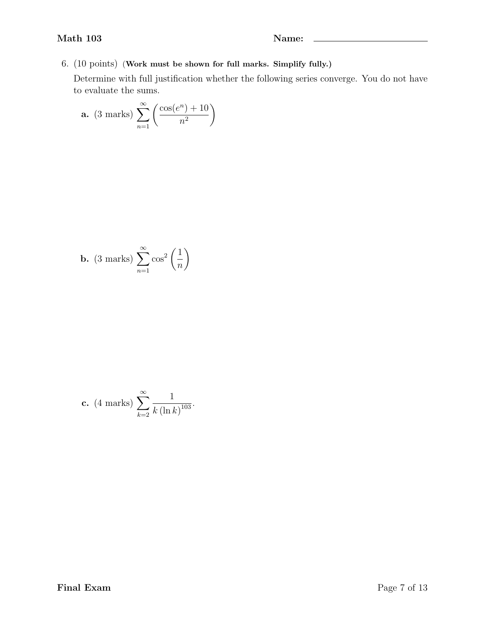6. (10 points) (Work must be shown for full marks. Simplify fully.)

Determine with full justification whether the following series converge. You do not have to evaluate the sums.

**a.** (3 marks) 
$$
\sum_{n=1}^{\infty} \left( \frac{\cos(e^n) + 10}{n^2} \right)
$$

**b.** (3 marks) 
$$
\sum_{n=1}^{\infty} \cos^2\left(\frac{1}{n}\right)
$$

**c.** (4 marks) 
$$
\sum_{k=2}^{\infty} \frac{1}{k (\ln k)^{103}}
$$
.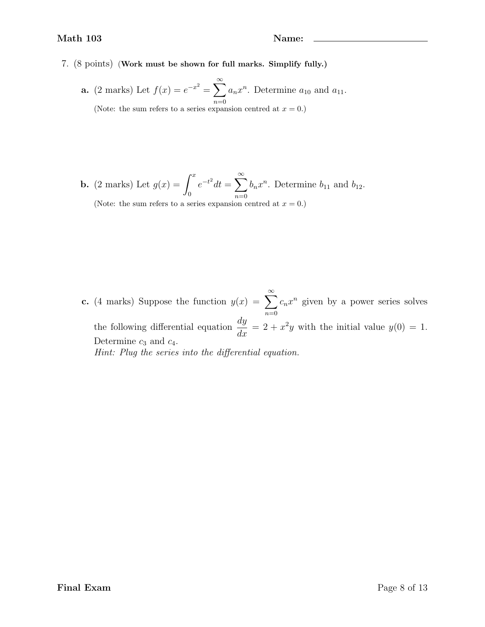7. (8 points) (Work must be shown for full marks. Simplify fully.)

**a.** (2 marks) Let  $f(x) = e^{-x^2} = \sum_{n=1}^{\infty}$  $n=0$  $a_n x^n$ . Determine  $a_{10}$  and  $a_{11}$ . (Note: the sum refers to a series expansion centred at  $x = 0$ .)

**b.** (2 marks) Let  $g(x) = \int^x$ 0  $e^{-t^2}dt = \sum_{n=1}^{\infty}$  $n=0$  $b_n x^n$ . Determine  $b_{11}$  and  $b_{12}$ . (Note: the sum refers to a series expansion centred at  $x = 0$ .)

**c.** (4 marks) Suppose the function  $y(x) = \sum_{n=0}^{\infty}$  $n=0$  $c_n x^n$  given by a power series solves the following differential equation  $\frac{dy}{dx}$  $\frac{dy}{dx} = 2 + x^2y$  with the initial value  $y(0) = 1$ . Determine  $c_3$  and  $c_4$ . Hint: Plug the series into the differential equation.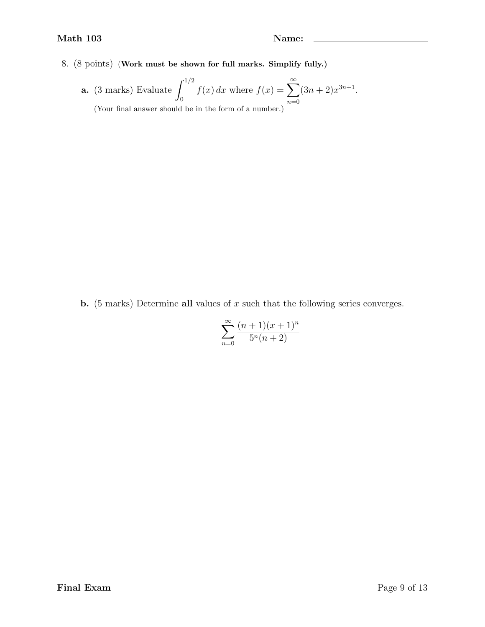8. (8 points) (Work must be shown for full marks. Simplify fully.)

**a.** (3 marks) Evaluate 
$$
\int_0^{1/2} f(x) dx
$$
 where  $f(x) = \sum_{n=0}^{\infty} (3n + 2)x^{3n+1}$ .  
(Your final answer should be in the form of a number.)

**b.** (5 marks) Determine all values of  $x$  such that the following series converges.

$$
\sum_{n=0}^{\infty} \frac{(n+1)(x+1)^n}{5^n(n+2)}
$$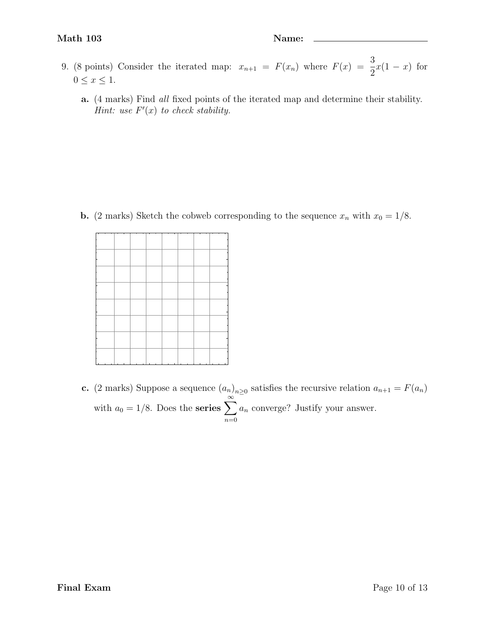- 9. (8 points) Consider the iterated map:  $x_{n+1} = F(x_n)$  where  $F(x) = \frac{3}{2}$  $x(1-x)$  for  $0\leq x\leq 1.$ 
	- a. (4 marks) Find all fixed points of the iterated map and determine their stability. Hint: use  $F'(x)$  to check stability.

**b.** (2 marks) Sketch the cobweb corresponding to the sequence  $x_n$  with  $x_0 = 1/8$ .

|  | т |  |  |
|--|---|--|--|
|  |   |  |  |
|  |   |  |  |
|  |   |  |  |
|  |   |  |  |
|  |   |  |  |
|  |   |  |  |
|  |   |  |  |
|  |   |  |  |
|  |   |  |  |
|  |   |  |  |
|  |   |  |  |
|  |   |  |  |
|  |   |  |  |
|  |   |  |  |
|  |   |  |  |
|  |   |  |  |
|  |   |  |  |
|  |   |  |  |
|  |   |  |  |
|  |   |  |  |
|  |   |  |  |
|  |   |  |  |
|  |   |  |  |
|  |   |  |  |
|  |   |  |  |
|  |   |  |  |
|  |   |  |  |
|  |   |  |  |
|  |   |  |  |
|  |   |  |  |
|  |   |  |  |
|  |   |  |  |
|  |   |  |  |
|  |   |  |  |
|  |   |  |  |
|  |   |  |  |
|  |   |  |  |
|  |   |  |  |
|  |   |  |  |
|  |   |  |  |
|  |   |  |  |
|  |   |  |  |
|  |   |  |  |
|  |   |  |  |
|  |   |  |  |
|  |   |  |  |
|  |   |  |  |
|  |   |  |  |
|  |   |  |  |
|  |   |  |  |
|  |   |  |  |
|  |   |  |  |
|  |   |  |  |
|  |   |  |  |
|  |   |  |  |

c. (2 marks) Suppose a sequence  $(a_n)_{n\geq 0}$  satisfies the recursive relation  $a_{n+1} = F(a_n)$ with  $a_0 = 1/8$ . Does the series  $\sum_{n=1}^{\infty}$  $n=0$  $a_n$  converge? Justify your answer.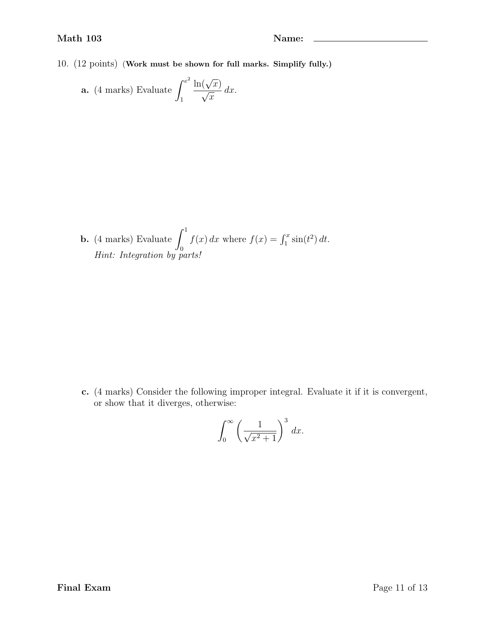10. (12 points) (Work must be shown for full marks. Simplify fully.)

**a.** (4 marks) Evaluate 
$$
\int_{1}^{e^{2}} \frac{\ln(\sqrt{x})}{\sqrt{x}} dx.
$$

**b.** (4 marks) Evaluate 
$$
\int_0^1 f(x) dx
$$
 where  $f(x) = \int_1^x \sin(t^2) dt$ .  
*Hint: Integration by parts!*

c. (4 marks) Consider the following improper integral. Evaluate it if it is convergent, or show that it diverges, otherwise:

$$
\int_0^\infty \left(\frac{1}{\sqrt{x^2+1}}\right)^3 dx.
$$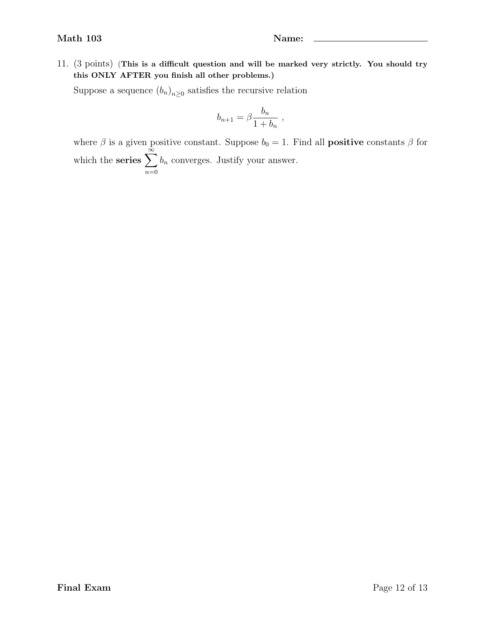11. (3 points) (This is a difficult question and will be marked very strictly. You should try this ONLY AFTER you finish all other problems.)

Suppose a sequence  $(b_n)_{n\geq 0}$  satisfies the recursive relation

$$
b_{n+1} = \beta \frac{b_n}{1+b_n} ,
$$

where  $\beta$  is a given positive constant. Suppose  $b_0 = 1$ . Find all **positive** constants  $\beta$  for which the series  $\sum_{n=1}^{\infty}$  $n=0$  $b_n$  converges. Justify your answer.